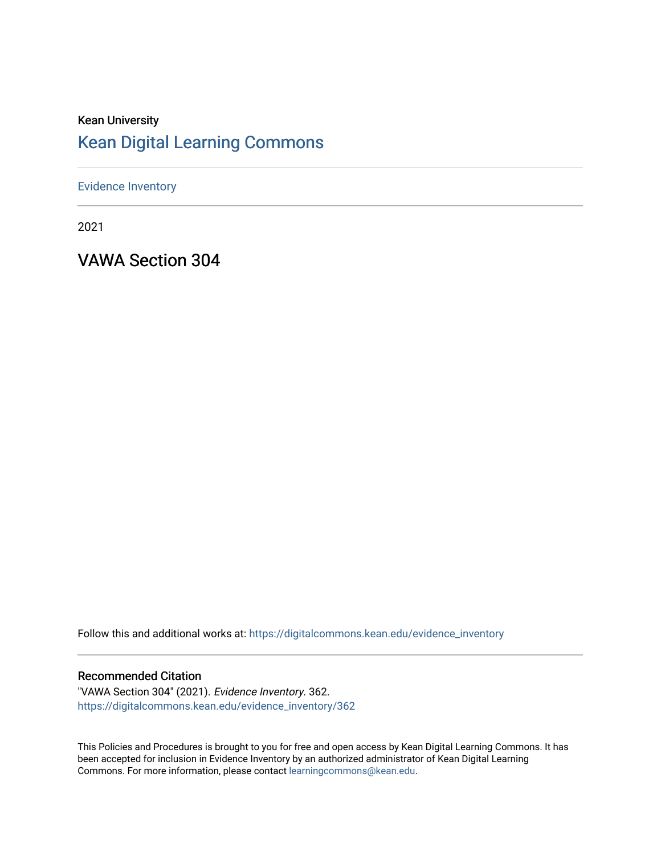#### Kean University [Kean Digital Learning Commons](https://digitalcommons.kean.edu/)

[Evidence Inventory](https://digitalcommons.kean.edu/evidence_inventory) 

2021

VAWA Section 304

Follow this and additional works at: [https://digitalcommons.kean.edu/evidence\\_inventory](https://digitalcommons.kean.edu/evidence_inventory?utm_source=digitalcommons.kean.edu%2Fevidence_inventory%2F362&utm_medium=PDF&utm_campaign=PDFCoverPages)

#### Recommended Citation

"VAWA Section 304" (2021). Evidence Inventory. 362. [https://digitalcommons.kean.edu/evidence\\_inventory/362](https://digitalcommons.kean.edu/evidence_inventory/362?utm_source=digitalcommons.kean.edu%2Fevidence_inventory%2F362&utm_medium=PDF&utm_campaign=PDFCoverPages)

This Policies and Procedures is brought to you for free and open access by Kean Digital Learning Commons. It has been accepted for inclusion in Evidence Inventory by an authorized administrator of Kean Digital Learning Commons. For more information, please contact [learningcommons@kean.edu.](mailto:learningcommons@kean.edu)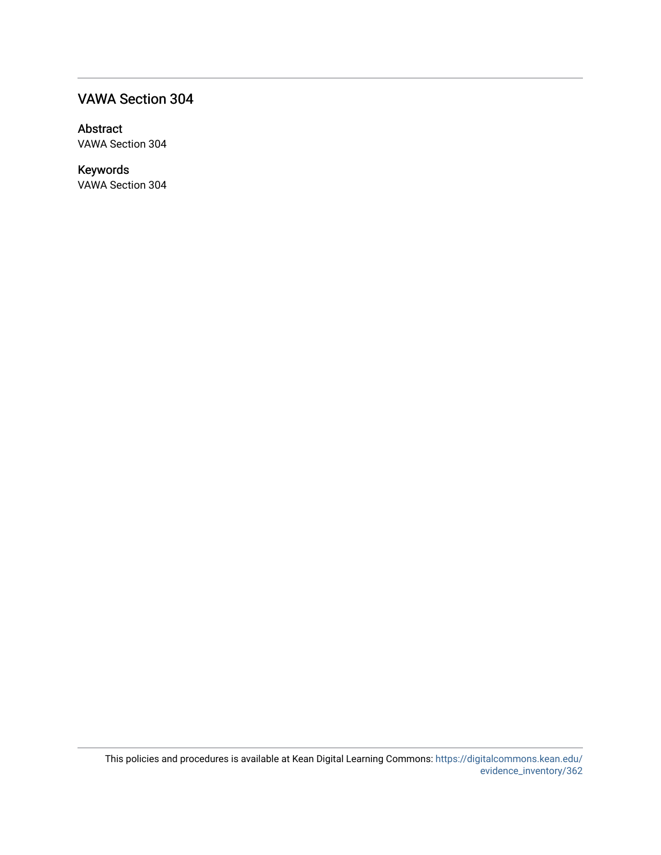#### VAWA Section 304

#### Abstract

VAWA Section 304

#### Keywords

VAWA Section 304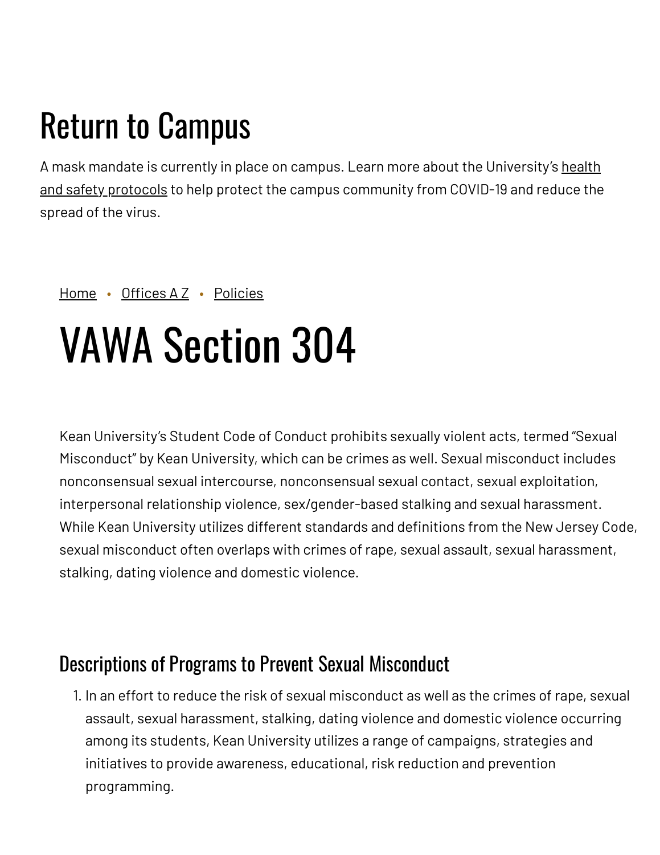# Return to Campus

A mask mandate is currently in place on campus. Learn more about the [University's](https://www.kean.edu/welcome-fall-2021-semester) health and safety protocols to help protect the campus community from COVID-19 and reduce the spread of the virus.

#### [Home](https://www.kean.edu/) • [Offices](https://www.kean.edu/offices) A Z • [Policies](https://www.kean.edu/offices/policies)

# VAWA Section 304

Kean University's Student Code of Conduct prohibits sexually violent acts, termed "Sexual Misconduct" by Kean University, which can be crimes as well. Sexual misconduct includes nonconsensual sexual intercourse, nonconsensual sexual contact, sexual exploitation, interpersonal relationship violence, sex/gender-based stalking and sexual harassment. While Kean University utilizes different standards and definitions from the New Jersey Code, sexual misconduct often overlaps with crimes of rape, sexual assault, sexual harassment, stalking, dating violence and domestic violence.

# Descriptions of Programs to Prevent Sexual Misconduct

1. In an effort to reduce the risk of sexual misconduct as well as the crimes of rape, sexual assault, sexual harassment, stalking, dating violence and domestic violence occurring among its students, Kean University utilizes a range of campaigns, strategies and initiatives to provide awareness, educational, risk reduction and prevention programming.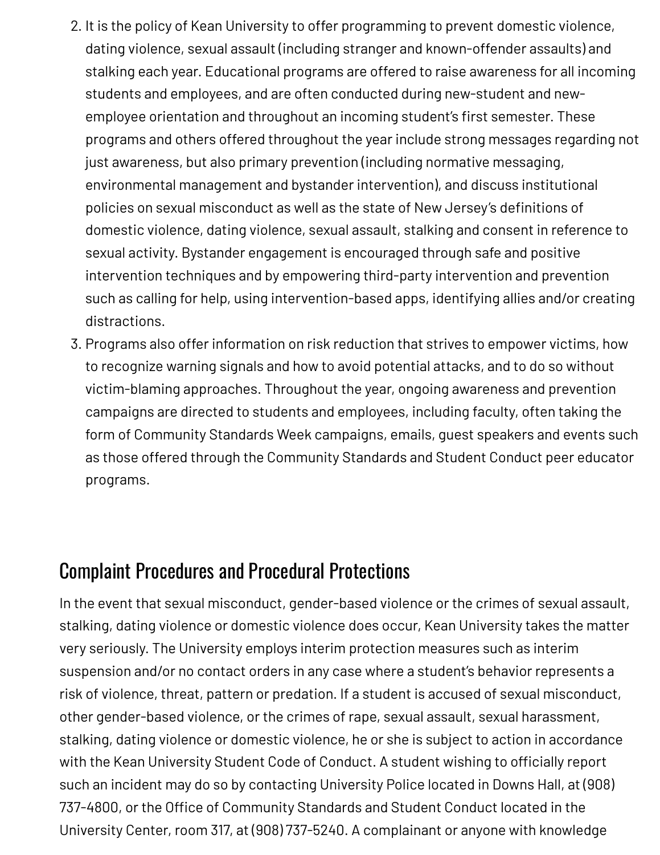- 2. It is the policy of Kean University to offer programming to prevent domestic violence, dating violence, sexual assault (including stranger and known-offender assaults) and stalking each year. Educational programs are offered to raise awareness for all incoming students and employees, and are often conducted during new-student and newemployee orientation and throughout an incoming student's first semester. These programs and others offered throughout the year include strong messages regarding not just awareness, but also primary prevention (including normative messaging, environmental management and bystander intervention), and discuss institutional policies on sexual misconduct as well as the state of New Jersey's definitions of domestic violence, dating violence, sexual assault, stalking and consent in reference to sexual activity. Bystander engagement is encouraged through safe and positive intervention techniques and by empowering third-party intervention and prevention such as calling for help, using intervention-based apps, identifying allies and/or creating distractions.
- 3. Programs also offer information on risk reduction that strives to empower victims, how to recognize warning signals and how to avoid potential attacks, and to do so without victim-blaming approaches. Throughout the year, ongoing awareness and prevention campaigns are directed to students and employees, including faculty, often taking the form of Community Standards Week campaigns, emails, guest speakers and events such as those offered through the Community Standards and Student Conduct peer educator programs.

# Complaint Procedures and Procedural Protections

In the event that sexual misconduct, gender-based violence or the crimes of sexual assault, stalking, dating violence or domestic violence does occur, Kean University takes the matter very seriously. The University employs interim protection measures such as interim suspension and/or no contact orders in any case where a student's behavior represents a risk of violence, threat, pattern or predation. If a student is accused of sexual misconduct, other gender-based violence, or the crimes of rape, sexual assault, sexual harassment, stalking, dating violence or domestic violence, he or she is subject to action in accordance with the Kean University Student Code of Conduct. A student wishing to officially report such an incident may do so by contacting University Police located in Downs Hall, at (908) 737-4800, or the Office of Community Standards and Student Conduct located in the University Center, room 317, at (908) 737-5240. A complainant or anyone with knowledge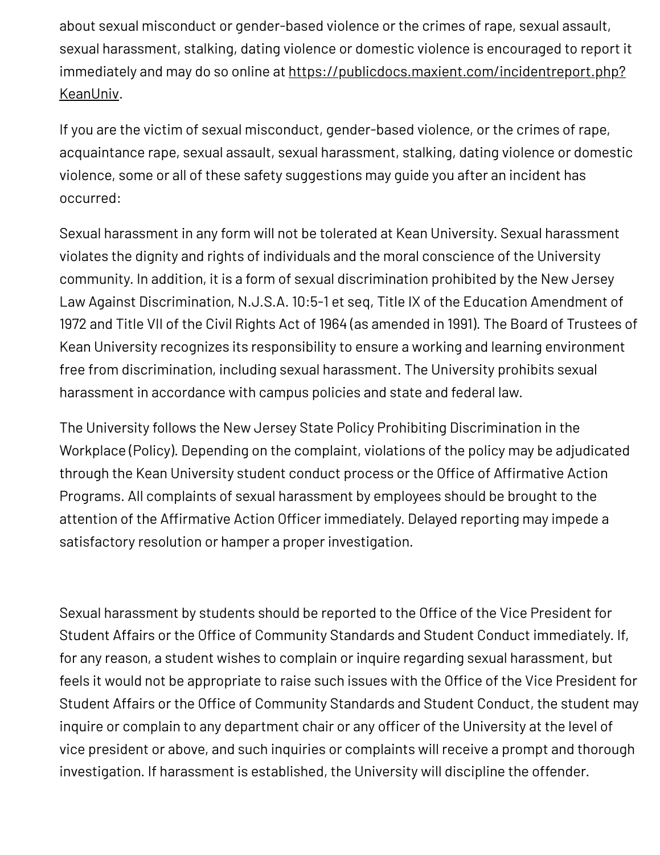about sexual misconduct or gender-based violence or the crimes of rape, sexual assault, sexual harassment, stalking, dating violence or domestic violence is encouraged to report it immediately and may do so online at [https://publicdocs.maxient.com/incidentreport.php?](https://publicdocs.maxient.com/incidentreport.php?KeanUniv) KeanUniv.

If you are the victim of sexual misconduct, gender-based violence, or the crimes of rape, acquaintance rape, sexual assault, sexual harassment, stalking, dating violence or domestic violence, some or all of these safety suggestions may guide you after an incident has occurred:

Sexual harassment in any form will not be tolerated at Kean University. Sexual harassment violates the dignity and rights of individuals and the moral conscience of the University community. In addition, it is a form of sexual discrimination prohibited by the New Jersey Law Against Discrimination, N.J.S.A. 10:5-1 et seq, Title IX of the Education Amendment of 1972 and Title VII of the Civil Rights Act of 1964 (as amended in 1991). The Board of Trustees of Kean University recognizes its responsibility to ensure a working and learning environment free from discrimination, including sexual harassment. The University prohibits sexual harassment in accordance with campus policies and state and federal law.

The University follows the New Jersey State Policy Prohibiting Discrimination in the Workplace (Policy). Depending on the complaint, violations of the policy may be adjudicated through the Kean University student conduct process or the Office of Affirmative Action Programs. All complaints of sexual harassment by employees should be brought to the attention of the Affirmative Action Officer immediately. Delayed reporting may impede a satisfactory resolution or hamper a proper investigation.

Sexual harassment by students should be reported to the Office of the Vice President for Student Affairs or the Office of Community Standards and Student Conduct immediately. If, for any reason, a student wishes to complain or inquire regarding sexual harassment, but feels it would not be appropriate to raise such issues with the Office of the Vice President for Student Affairs or the Office of Community Standards and Student Conduct, the student may inquire or complain to any department chair or any officer of the University at the level of vice president or above, and such inquiries or complaints will receive a prompt and thorough investigation. If harassment is established, the University will discipline the offender.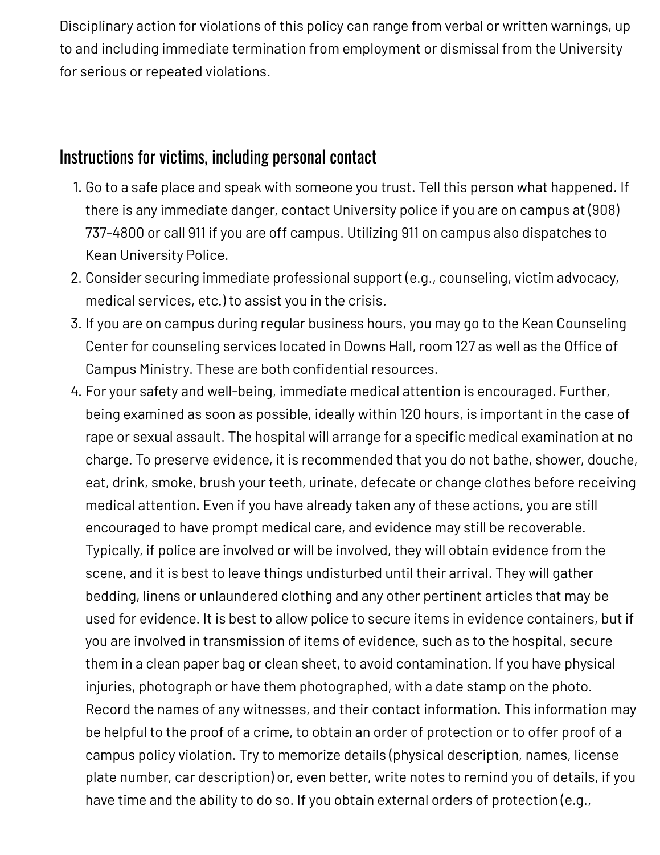Disciplinary action for violations of this policy can range from verbal or written warnings, up to and including immediate termination from employment or dismissal from the University for serious or repeated violations.

#### Instructions for victims, including personal contact

- 1. Go to a safe place and speak with someone you trust. Tell this person what happened. If there is any immediate danger, contact University police if you are on campus at (908) 737-4800 or call 911 if you are off campus. Utilizing 911 on campus also dispatches to Kean University Police.
- 2. Consider securing immediate professional support (e.g., counseling, victim advocacy, medical services, etc.) to assist you in the crisis.
- 3. If you are on campus during regular business hours, you may go to the Kean Counseling Center for counseling services located in Downs Hall, room 127 as well as the Office of Campus Ministry. These are both confidential resources.
- 4. For your safety and well-being, immediate medical attention is encouraged. Further, being examined as soon as possible, ideally within 120 hours, is important in the case of rape or sexual assault. The hospital will arrange for a specific medical examination at no charge. To preserve evidence, it is recommended that you do not bathe, shower, douche, eat, drink, smoke, brush your teeth, urinate, defecate or change clothes before receiving medical attention. Even if you have already taken any of these actions, you are still encouraged to have prompt medical care, and evidence may still be recoverable. Typically, if police are involved or will be involved, they will obtain evidence from the scene, and it is best to leave things undisturbed until their arrival. They will gather bedding, linens or unlaundered clothing and any other pertinent articles that may be used for evidence. It is best to allow police to secure items in evidence containers, but if you are involved in transmission of items of evidence, such as to the hospital, secure them in a clean paper bag or clean sheet, to avoid contamination. If you have physical injuries, photograph or have them photographed, with a date stamp on the photo. Record the names of any witnesses, and their contact information. This information may be helpful to the proof of a crime, to obtain an order of protection or to offer proof of a campus policy violation. Try to memorize details (physical description, names, license plate number, car description) or, even better, write notes to remind you of details, if you have time and the ability to do so. If you obtain external orders of protection (e.g.,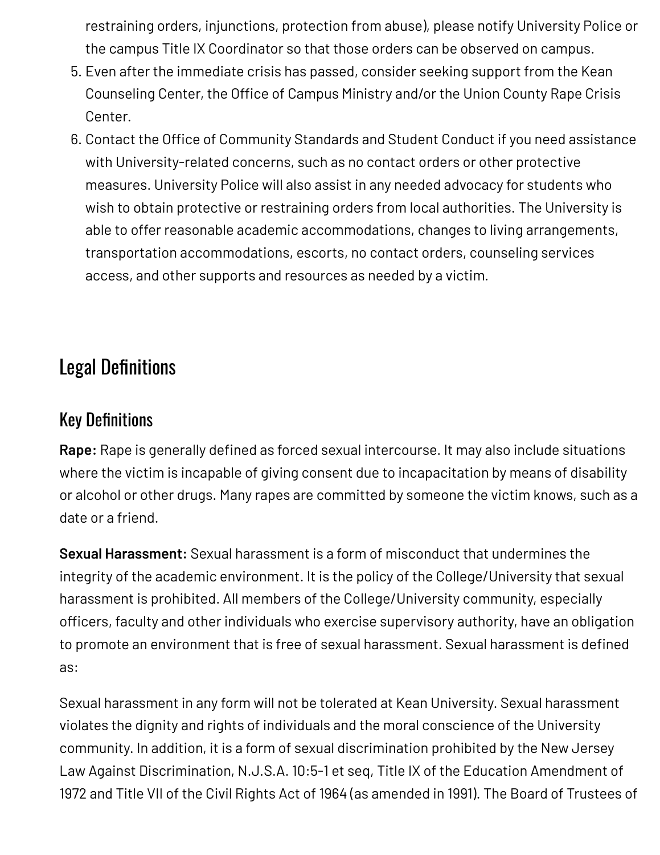restraining orders, injunctions, protection from abuse), please notify University Police or the campus Title IX Coordinator so that those orders can be observed on campus.

- 5. Even after the immediate crisis has passed, consider seeking support from the Kean Counseling Center, the Office of Campus Ministry and/or the Union County Rape Crisis Center.
- 6. Contact the Office of Community Standards and Student Conduct if you need assistance with University-related concerns, such as no contact orders or other protective measures. University Police will also assist in any needed advocacy for students who wish to obtain protective or restraining orders from local authorities. The University is able to offer reasonable academic accommodations, changes to living arrangements, transportation accommodations, escorts, no contact orders, counseling services access, and other supports and resources as needed by a victim.

# Legal Definitions

### Key Definitions

**Rape:** Rape is generally defined as forced sexual intercourse. It may also include situations where the victim is incapable of giving consent due to incapacitation by means of disability or alcohol or other drugs. Many rapes are committed by someone the victim knows, such as a date or a friend.

**Sexual Harassment:** Sexual harassment is a form of misconduct that undermines the integrity of the academic environment. It is the policy of the College/University that sexual harassment is prohibited. All members of the College/University community, especially officers, faculty and other individuals who exercise supervisory authority, have an obligation to promote an environment that is free of sexual harassment. Sexual harassment is defined as:

Sexual harassment in any form will not be tolerated at Kean University. Sexual harassment violates the dignity and rights of individuals and the moral conscience of the University community. In addition, it is a form of sexual discrimination prohibited by the New Jersey Law Against Discrimination, N.J.S.A. 10:5-1 et seq, Title IX of the Education Amendment of 1972 and Title VII of the Civil Rights Act of 1964 (as amended in 1991). The Board of Trustees of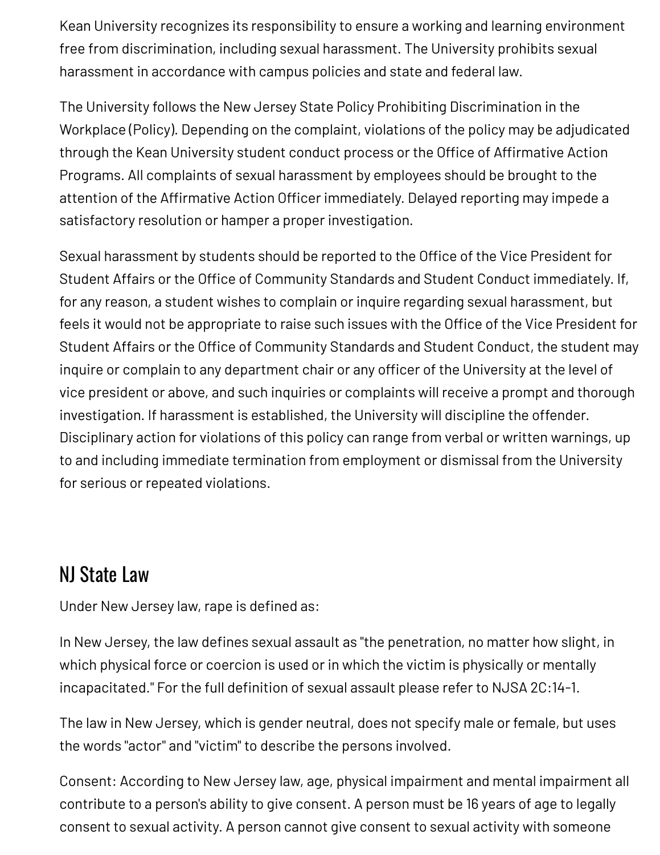Kean University recognizes its responsibility to ensure a working and learning environment free from discrimination, including sexual harassment. The University prohibits sexual harassment in accordance with campus policies and state and federal law.

The University follows the New Jersey State Policy Prohibiting Discrimination in the Workplace (Policy). Depending on the complaint, violations of the policy may be adjudicated through the Kean University student conduct process or the Office of Affirmative Action Programs. All complaints of sexual harassment by employees should be brought to the attention of the Affirmative Action Officer immediately. Delayed reporting may impede a satisfactory resolution or hamper a proper investigation.

Sexual harassment by students should be reported to the Office of the Vice President for Student Affairs or the Office of Community Standards and Student Conduct immediately. If, for any reason, a student wishes to complain or inquire regarding sexual harassment, but feels it would not be appropriate to raise such issues with the Office of the Vice President for Student Affairs or the Office of Community Standards and Student Conduct, the student may inquire or complain to any department chair or any officer of the University at the level of vice president or above, and such inquiries or complaints will receive a prompt and thorough investigation. If harassment is established, the University will discipline the offender. Disciplinary action for violations of this policy can range from verbal or written warnings, up to and including immediate termination from employment or dismissal from the University for serious or repeated violations.

# NJ State Law

Under New Jersey law, rape is defined as:

In New Jersey, the law defines sexual assault as "the penetration, no matter how slight, in which physical force or coercion is used or in which the victim is physically or mentally incapacitated." For the full definition of sexual assault please refer to NJSA 2C:14-1.

The law in New Jersey, which is gender neutral, does not specify male or female, but uses the words "actor" and "victim" to describe the persons involved.

Consent: According to New Jersey law, age, physical impairment and mental impairment all contribute to a person's ability to give consent. A person must be 16 years of age to legally consent to sexual activity. A person cannot give consent to sexual activity with someone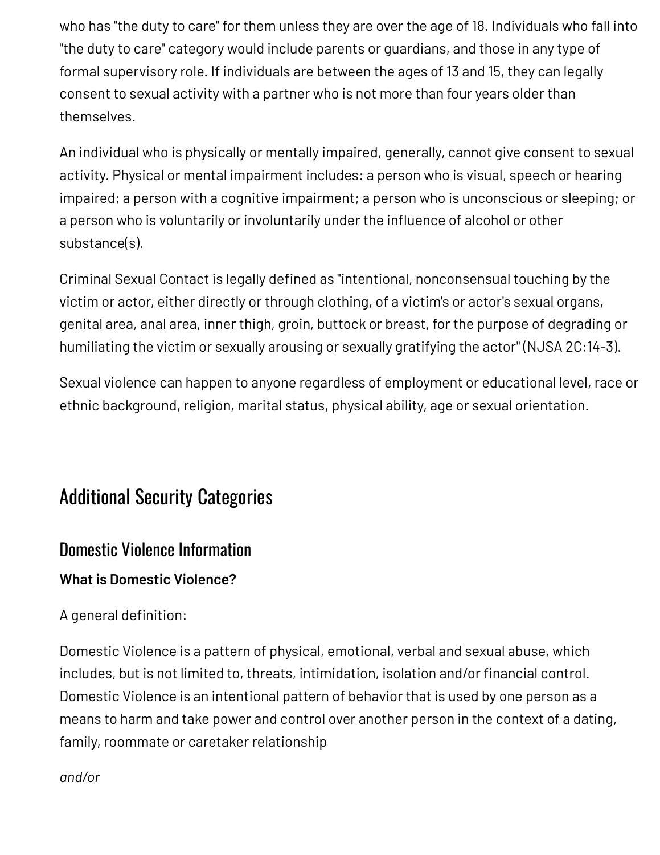who has "the duty to care" for them unless they are over the age of 18. Individuals who fall into "the duty to care" category would include parents or guardians, and those in any type of formal supervisory role. If individuals are between the ages of 13 and 15, they can legally consent to sexual activity with a partner who is not more than four years older than themselves.

An individual who is physically or mentally impaired, generally, cannot give consent to sexual activity. Physical or mental impairment includes: a person who is visual, speech or hearing impaired; a person with a cognitive impairment; a person who is unconscious or sleeping; or a person who is voluntarily or involuntarily under the influence of alcohol or other substance(s).

Criminal Sexual Contact is legally defined as "intentional, nonconsensual touching by the victim or actor, either directly or through clothing, of a victim's or actor's sexual organs, genital area, anal area, inner thigh, groin, buttock or breast, for the purpose of degrading or humiliating the victim or sexually arousing or sexually gratifying the actor" (NJSA 2C:14-3).

Sexual violence can happen to anyone regardless of employment or educational level, race or ethnic background, religion, marital status, physical ability, age or sexual orientation.

# Additional Security Categories

#### Domestic Violence Information

#### **What is Domestic Violence?**

#### A general definition:

Domestic Violence is a pattern of physical, emotional, verbal and sexual abuse, which includes, but is not limited to, threats, intimidation, isolation and/or financial control. Domestic Violence is an intentional pattern of behavior that is used by one person as a means to harm and take power and control over another person in the context of a dating, family, roommate or caretaker relationship

*and/or*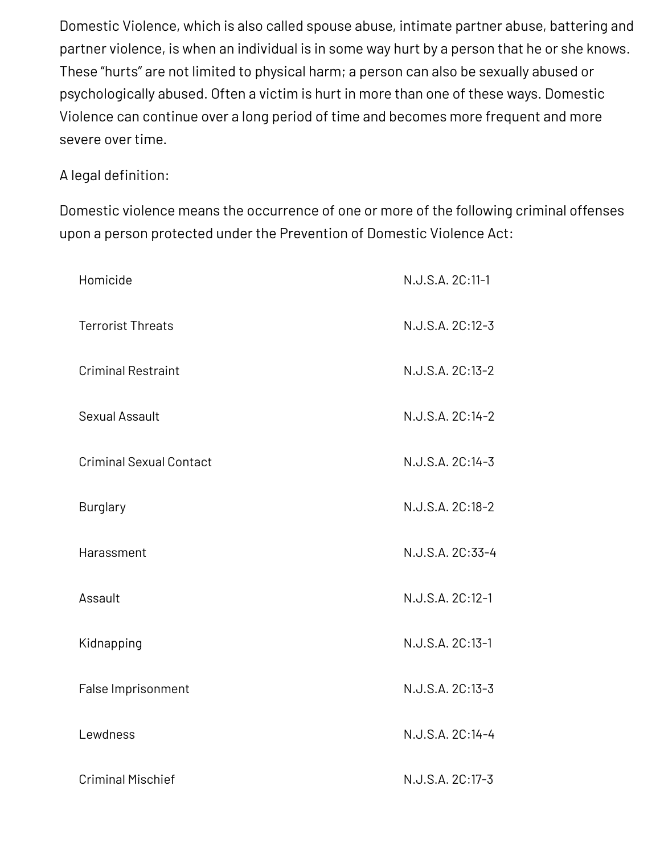Domestic Violence, which is also called spouse abuse, intimate partner abuse, battering and partner violence, is when an individual is in some way hurt by a person that he or she knows. These "hurts" are not limited to physical harm; a person can also be sexually abused or psychologically abused. Often a victim is hurt in more than one of these ways. Domestic Violence can continue over a long period of time and becomes more frequent and more severe over time.

#### A legal definition:

Domestic violence means the occurrence of one or more of the following criminal offenses upon a person protected under the Prevention of Domestic Violence Act:

| Homicide                       | N.J.S.A. 2C:11-1 |
|--------------------------------|------------------|
| <b>Terrorist Threats</b>       | N.J.S.A. 2C:12-3 |
| <b>Criminal Restraint</b>      | N.J.S.A. 2C:13-2 |
| <b>Sexual Assault</b>          | N.J.S.A. 2C:14-2 |
| <b>Criminal Sexual Contact</b> | N.J.S.A. 2C:14-3 |
| <b>Burglary</b>                | N.J.S.A. 2C:18-2 |
| Harassment                     | N.J.S.A. 2C:33-4 |
| Assault                        | N.J.S.A. 2C:12-1 |
| Kidnapping                     | N.J.S.A. 2C:13-1 |
| False Imprisonment             | N.J.S.A. 2C:13-3 |
| Lewdness                       | N.J.S.A. 2C:14-4 |
|                                |                  |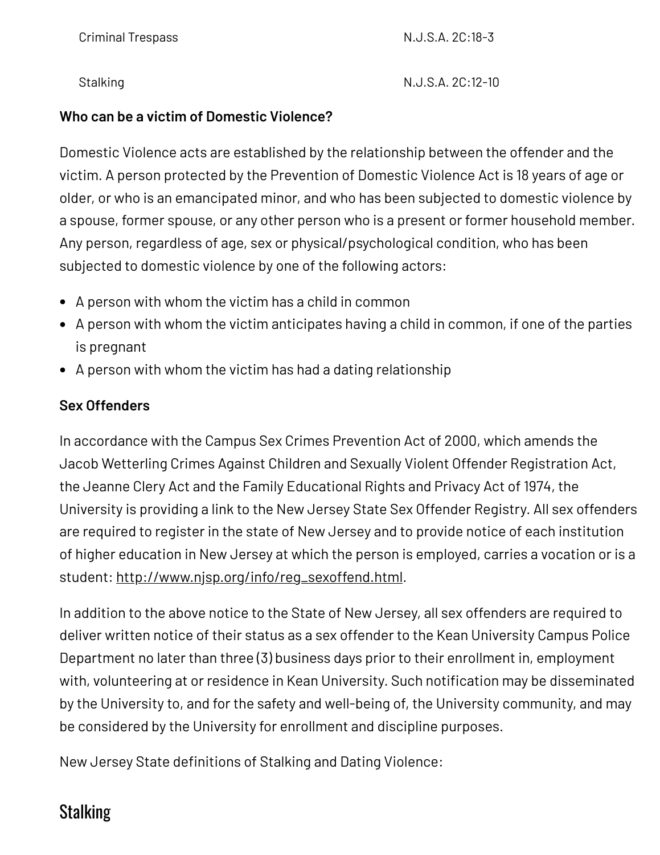Criminal Trespass **N.J.S.A. 2C:18-3** 

Stalking N.J.S.A. 2C:12-10

#### **Who can be a victim of Domestic Violence?**

Domestic Violence acts are established by the relationship between the offender and the victim. A person protected by the Prevention of Domestic Violence Act is 18 years of age or older, or who is an emancipated minor, and who has been subjected to domestic violence by a spouse, former spouse, or any other person who is a present or former household member. Any person, regardless of age, sex or physical/psychological condition, who has been subjected to domestic violence by one of the following actors:

- A person with whom the victim has a child in common
- A person with whom the victim anticipates having a child in common, if one of the parties is pregnant
- A person with whom the victim has had a dating relationship

#### **Sex Offenders**

In accordance with the Campus Sex Crimes Prevention Act of 2000, which amends the Jacob Wetterling Crimes Against Children and Sexually Violent Offender Registration Act, the Jeanne Clery Act and the Family Educational Rights and Privacy Act of 1974, the University is providing a link to the New Jersey State Sex Offender Registry. All sex offenders are required to register in the state of New Jersey and to provide notice of each institution of higher education in New Jersey at which the person is employed, carries a vocation or is a student: [http://www.njsp.org/info/reg\\_sexoffend.html](http://www.njsp.org/info/reg_sexoffend.html).

In addition to the above notice to the State of New Jersey, all sex offenders are required to deliver written notice of their status as a sex offender to the Kean University Campus Police Department no later than three (3) business days prior to their enrollment in, employment with, volunteering at or residence in Kean University. Such notification may be disseminated by the University to, and for the safety and well-being of, the University community, and may be considered by the University for enrollment and discipline purposes.

New Jersey State definitions of Stalking and Dating Violence:

#### **Stalking**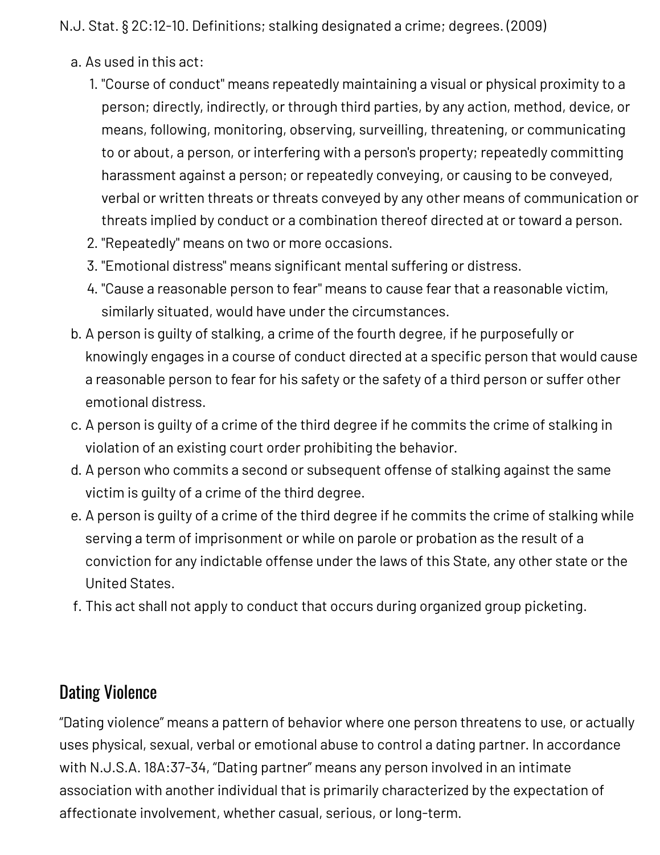N.J. Stat. § 2C:12-10. Definitions; stalking designated a crime; degrees. (2009)

- a. As used in this act:
	- 1. "Course of conduct" means repeatedly maintaining a visual or physical proximity to a person; directly, indirectly, or through third parties, by any action, method, device, or means, following, monitoring, observing, surveilling, threatening, or communicating to or about, a person, or interfering with a person's property; repeatedly committing harassment against a person; or repeatedly conveying, or causing to be conveyed, verbal or written threats or threats conveyed by any other means of communication or threats implied by conduct or a combination thereof directed at or toward a person.
	- 2. "Repeatedly" means on two or more occasions.
	- 3. "Emotional distress" means significant mental suffering or distress.
	- 4. "Cause a reasonable person to fear" means to cause fear that a reasonable victim, similarly situated, would have under the circumstances.
- b. A person is guilty of stalking, a crime of the fourth degree, if he purposefully or knowingly engages in a course of conduct directed at a specific person that would cause a reasonable person to fear for his safety or the safety of a third person or suffer other emotional distress.
- c. A person is guilty of a crime of the third degree if he commits the crime of stalking in violation of an existing court order prohibiting the behavior.
- d. A person who commits a second or subsequent offense of stalking against the same victim is guilty of a crime of the third degree.
- e. A person is guilty of a crime of the third degree if he commits the crime of stalking while serving a term of imprisonment or while on parole or probation as the result of a conviction for any indictable offense under the laws of this State, any other state or the United States.
- f. This act shall not apply to conduct that occurs during organized group picketing.

### Dating Violence

"Dating violence" means a pattern of behavior where one person threatens to use, or actually uses physical, sexual, verbal or emotional abuse to control a dating partner. In accordance with N.J.S.A. 18A:37-34, "Dating partner" means any person involved in an intimate association with another individual that is primarily characterized by the expectation of affectionate involvement, whether casual, serious, or long-term.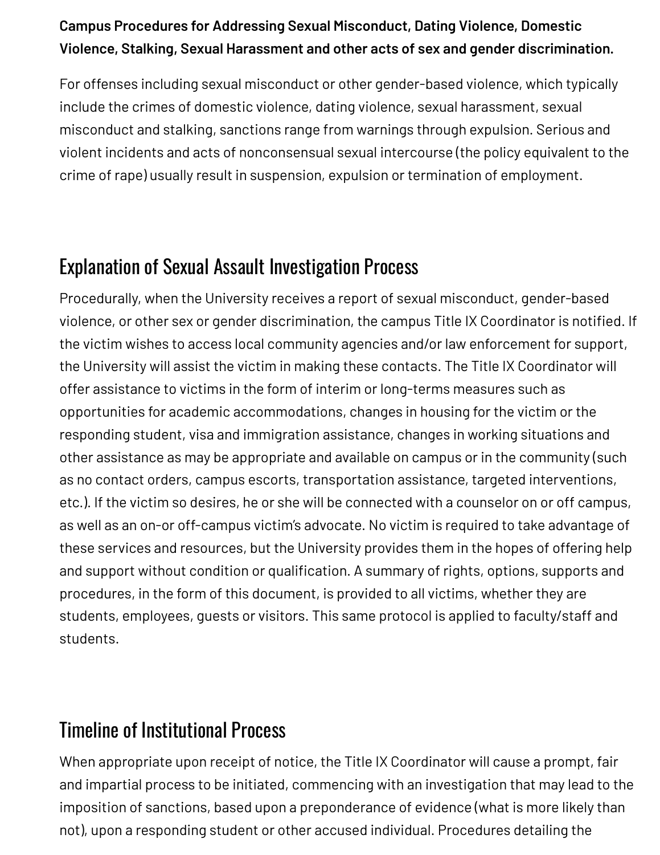#### **Campus Procedures for Addressing Sexual Misconduct, Dating Violence, Domestic Violence, Stalking, Sexual Harassment and other acts of sex and gender discrimination.**

For offenses including sexual misconduct or other gender-based violence, which typically include the crimes of domestic violence, dating violence, sexual harassment, sexual misconduct and stalking, sanctions range from warnings through expulsion. Serious and violent incidents and acts of nonconsensual sexual intercourse (the policy equivalent to the crime of rape) usually result in suspension, expulsion or termination of employment.

# Explanation of Sexual Assault Investigation Process

Procedurally, when the University receives a report of sexual misconduct, gender-based violence, or other sex or gender discrimination, the campus Title IX Coordinator is notified. If the victim wishes to access local community agencies and/or law enforcement for support, the University will assist the victim in making these contacts. The Title IX Coordinator will offer assistance to victims in the form of interim or long-terms measures such as opportunities for academic accommodations, changes in housing for the victim or the responding student, visa and immigration assistance, changes in working situations and other assistance as may be appropriate and available on campus or in the community (such as no contact orders, campus escorts, transportation assistance, targeted interventions, etc.). If the victim so desires, he or she will be connected with a counselor on or off campus, as well as an on-or off-campus victim's advocate. No victim is required to take advantage of these services and resources, but the University provides them in the hopes of offering help and support without condition or qualification. A summary of rights, options, supports and procedures, in the form of this document, is provided to all victims, whether they are students, employees, guests or visitors. This same protocol is applied to faculty/staff and students.

# Timeline of Institutional Process

When appropriate upon receipt of notice, the Title IX Coordinator will cause a prompt, fair and impartial process to be initiated, commencing with an investigation that may lead to the imposition of sanctions, based upon a preponderance of evidence (what is more likely than not), upon a responding student or other accused individual. Procedures detailing the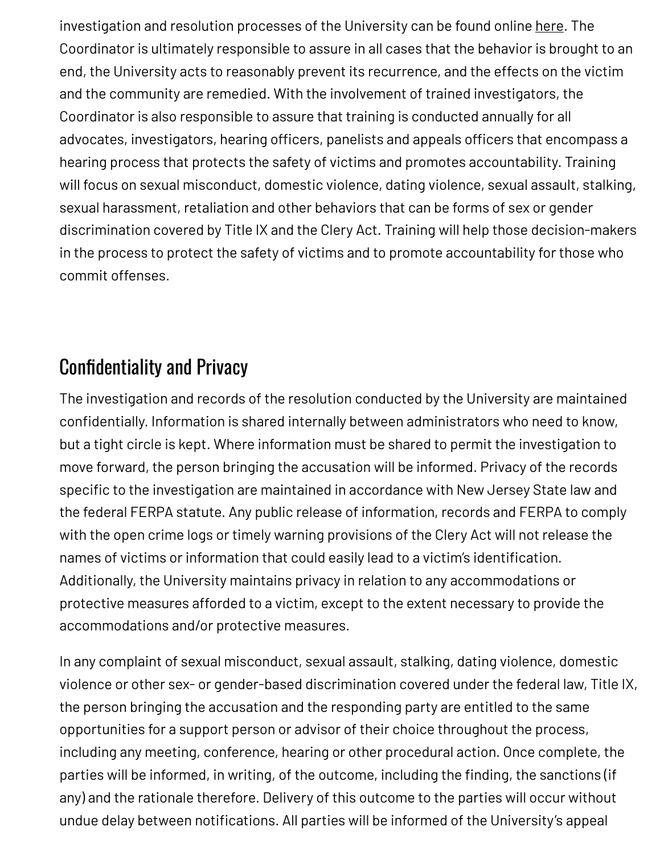investigation and resolution processes of the University can be found online [here](https://www.kean.edu/media/campus-safety-report). The Coordinator is ultimately responsible to assure in all cases that the behavior is brought to an end, the University acts to reasonably prevent its recurrence, and the effects on the victim and the community are remedied. With the involvement of trained investigators, the Coordinator is also responsible to assure that training is conducted annually for all advocates, investigators, hearing officers, panelists and appeals officers that encompass a hearing process that protects the safety of victims and promotes accountability. Training will focus on sexual misconduct, domestic violence, dating violence, sexual assault, stalking, sexual harassment, retaliation and other behaviors that can be forms of sex or gender discrimination covered by Title IX and the Clery Act. Training will help those decision-makers in the process to protect the safety of victims and to promote accountability for those who commit offenses.

# Confidentiality and Privacy

The investigation and records of the resolution conducted by the University are maintained confidentially. Information is shared internally between administrators who need to know, but a tight circle is kept. Where information must be shared to permit the investigation to move forward, the person bringing the accusation will be informed. Privacy of the records specific to the investigation are maintained in accordance with New Jersey State law and the federal FERPA statute. Any public release of information, records and FERPA to comply with the open crime logs or timely warning provisions of the Clery Act will not release the names of victims or information that could easily lead to a victim's identification. Additionally, the University maintains privacy in relation to any accommodations or protective measures afforded to a victim, except to the extent necessary to provide the accommodations and/or protective measures.

In any complaint of sexual misconduct, sexual assault, stalking, dating violence, domestic violence or other sex- or gender-based discrimination covered under the federal law, Title IX, the person bringing the accusation and the responding party are entitled to the same opportunities for a support person or advisor of their choice throughout the process, including any meeting, conference, hearing or other procedural action. Once complete, the parties will be informed, in writing, of the outcome, including the finding, the sanctions (if any) and the rationale therefore. Delivery of this outcome to the parties will occur without undue delay between notifications. All parties will be informed of the University's appeal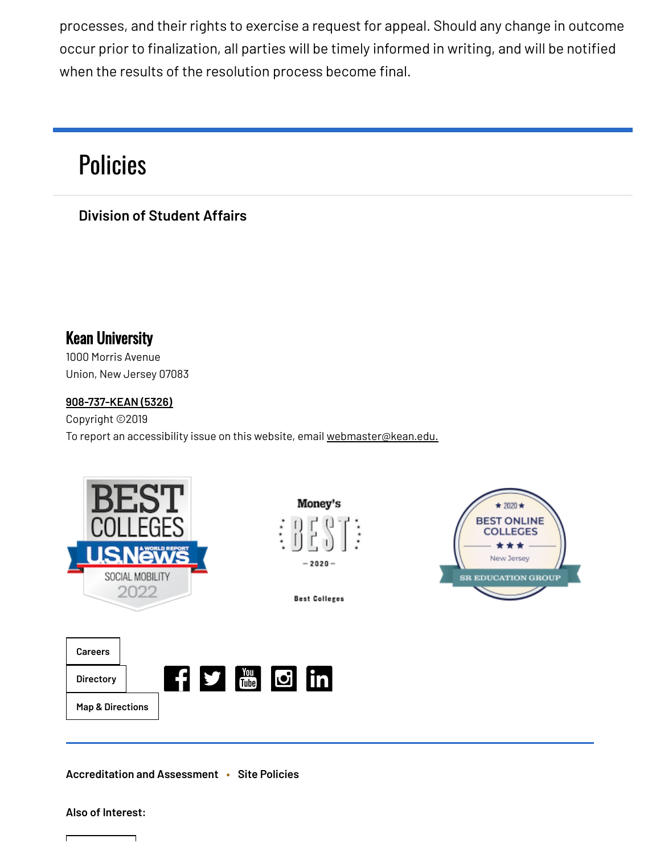processes, and their rights to exercise a request for appeal. Should any change in outcome occur prior to finalization, all parties will be timely informed in writing, and will be notified when the results of the resolution process become final.

# **[Policies](https://www.kean.edu/offices/policies)**

**Division of [Student](https://www.kean.edu/division-student-affairs) Affairs**

Kean University 1000 Morris Avenue

Union, New Jersey 07083

#### **[908-737-KEAN](tel:908-737-5326) (5326)**

Copyright ©2019 To report an accessibility issue on this website, email [webmaster@kean.edu.](mailto:webmaster@kean.edu)



**[Accreditation](https://www.kean.edu/offices/accreditation-and-assessment) and Assessment • Site [Policies](https://www.kean.edu/privacy-policy)**

#### **Also of Interest:**

┑

h